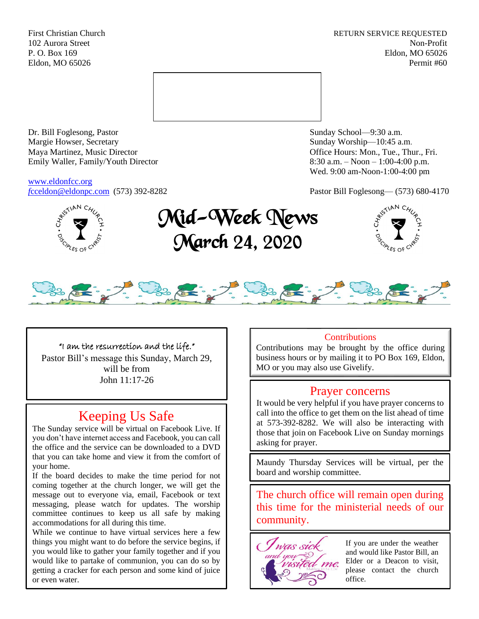First Christian Church **RETURN SERVICE REQUESTED** 102 Aurora Street Non-Profit P. O. Box 169 Eldon, MO 65026 Eldon, MO 65026 Permit #60



Dr. Bill Foglesong, Pastor Sunday School—9:30 a.m. Margie Howser, Secretary Sunday Worship—10:45 a.m. Maya Martinez, Music Director Office Hours: Mon., Tue., Thur., Fri. Emily Waller, Family/Youth Director 8:30 a.m. – Noon – 1:00-4:00 p.m.

[www.eldonfcc.org](http://www.eldonfcc.org/)

Wed. 9:00 am-Noon-1:00-4:00 pm

*f*[cceldon@eldonpc.com](mailto:fcceldon@eldonpc.com) (573) 392-8282 Pastor Bill Foglesong— (573) 680-4170



# Mid-Week News March 24, 2020





# "I am the resurrection and the life."

Pastor Bill's message this Sunday, March 29, will be from John 11:17-26

# Keeping Us Safe

The Sunday service will be virtual on Facebook Live. If you don't have internet access and Facebook, you can call the office and the service can be downloaded to a DVD that you can take home and view it from the comfort of your home.

If the board decides to make the time period for not coming together at the church longer, we will get the message out to everyone via, email, Facebook or text messaging, please watch for updates. The worship committee continues to keep us all safe by making accommodations for all during this time.

While we continue to have virtual services here a few things you might want to do before the service begins, if you would like to gather your family together and if you would like to partake of communion, you can do so by getting a cracker for each person and some kind of juice or even water.

# **Contributions**

Contributions may be brought by the office during business hours or by mailing it to PO Box 169, Eldon, MO or you may also use Givelify.

# Prayer concerns

It would be very helpful if you have prayer concerns to call into the office to get them on the list ahead of time at 573-392-8282. We will also be interacting with those that join on Facebook Live on Sunday mornings asking for prayer.

Maundy Thursday Services will be virtual, per the board and worship committee.

The church office will remain open during this time for the ministerial needs of our community.



If you are under the weather and would like Pastor Bill, an Elder or a Deacon to visit, please contact the church office.